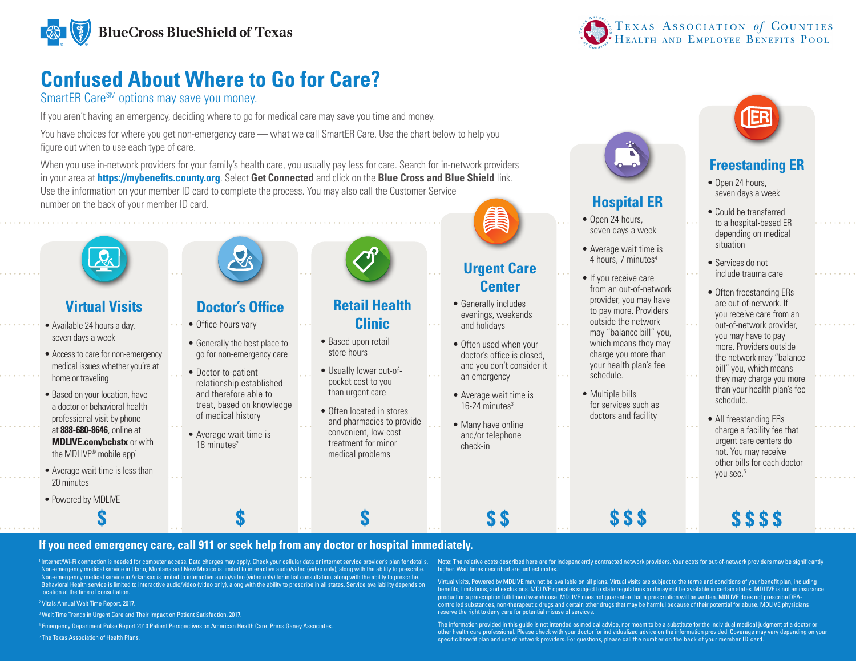

# **Confused About Where to Go for Care?**

## SmartER Care<sup>SM</sup> options may save you money.

If you aren't having an emergency, deciding where to go for medical care may save you time and money.

You have choices for where you get non-emergency care — what we call SmartER Care. Use the chart below to help you figure out when to use each type of care.

When you use in-network providers for your family's health care, you usually pay less for care. Search for in-network providers in your area at **https://mybenefits.county.org**. Select **Get Connected** and click on the **Blue Cross and Blue Shield** link. Use the information on your member ID card to complete the process. You may also call the Customer Service number on the back of your member ID card.



# **Virtual Visits**

- Available 24 hours a day, seven days a week
- Access to care for non-emergency medical issues whether you're at home or traveling
- Based on your location, have a doctor or behavioral health professional visit by phone at **888-680-8646**, online at **MDLIVE.com/bcbstx** or with the MDLIVE<sup>®</sup> mobile app<sup>1</sup>
- Average wait time is less than 20 minutes
- Powered by MDLIVE



# **Doctor's Office**

- Office hours vary
- Generally the best place to
- Doctor-to-patient relationship established and therefore able to of medical history
- Average wait time is 18 minutes<sup>2</sup>



- 
- go for non-emergency care
- treat, based on knowledge
- 



# **Retail Health Clinic**

- Based upon retail store hours
- Usually lower out-ofpocket cost to you than urgent care
- Often located in stores and pharmacies to provide convenient, low-cost treatment for minor medical problems



## **Urgent Care Center**

- Generally includes evenings, weekends and holidays
- Often used when your doctor's office is closed, and you don't consider it an emergency
- Average wait time is  $16-24$  minutes<sup>3</sup>
- Many have online and/or telephone check-in



# **Hospital ER**

- Open 24 hours, seven days a week
- Average wait time is 4 hours, 7 minutes<sup>4</sup>
- If you receive care from an out-of-network provider, you may have to pay more. Providers outside the network may "balance bill" you, which means they may charge you more than your health plan's fee schedule.
- Multiple bills for services such as doctors and facility



# **Freestanding ER**

- Open 24 hours, seven days a week
- Could be transferred to a hospital-based ER depending on medical situation
- Services do not include trauma care
- Often freestanding ERs are out-of-network. If you receive care from an out-of-network provider, you may have to pay more. Providers outside the network may "balance bill" you, which means they may charge you more than your health plan's fee
- All freestanding ERs charge a facility fee that urgent care centers do not. You may receive other bills for each doctor vou see.<sup>5</sup>

**\$ \$ \$ \$** 

schedule.

**If you need emergency care, call 911 or seek help from any doctor or hospital immediately.**

**\$ \$ \$ \$ \$**

<sup>1</sup> Internet/Wi-Fi connection is needed for computer access. Data charges may apply. Check your cellular data or internet service provider's plan for details. Non-emergency medical service in Idaho, Montana and New Mexico is limited to interactive audio/video (video only), along with the ability to prescribe.<br>Non-emergency medical service in Arkansas is limited to interactive au Behavioral Health service is limited to interactive audio/video (video only), along with the ability to prescribe in all states. Service availability depends on location at the time of consultation.

2 Vitals Annual Wait Time Report, 2017.

<sup>3</sup> Wait Time Trends in Urgent Care and Their Impact on Patient Satisfaction, 2017.

4 Emergency Department Pulse Report 2010 Patient Perspectives on American Health Care. Press Ganey Associates.

5 The Texas Association of Health Plans.

Note: The relative costs described here are for independently contracted network providers. Your costs for out-of-network providers may be significantly higher. Wait times described are just estimates.

**\$ \$ \$**

Virtual visits, Powered by MDLIVE may not be available on all plans. Virtual visits are subject to the terms and conditions of your benefit plan, including benefits, limitations, and exclusions. MDLIVE operates subject to state regulations and may not be available in certain states. MDLIVE is not an insurance product or a prescription fulfillment warehouse. MDLIVE does not guarantee that a prescription will be written. MDLIVE does not prescribe DEAcontrolled substances, non-therapeutic drugs and certain other drugs that may be harmful because of their potential for abuse. MDLIVE physicians<br>reserve the right to deny care for potential misuse of services.

The information provided in this guide is not intended as medical advice, nor meant to be a substitute for the individual medical judgment of a doctor or other health care professional. Please check with your doctor for individualized advice on the information provided. Coverage may vary depending on your specific benefit plan and use of network providers. For questions, please call the number on the back of your member ID card.